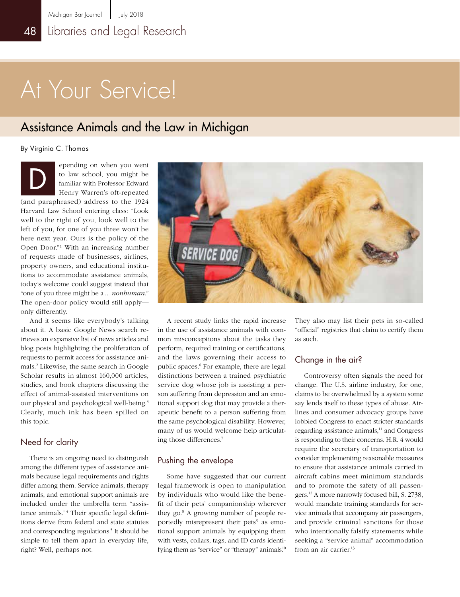# At Your Service!

### Assistance Animals and the Law in Michigan

By Virginia C. Thomas

epending on when you went to law school, you might be familiar with Professor Edward Henry Warren's oft-repeated (and paraphrased) address to the 1924 Harvard Law School entering class: "Look well to the right of you, look well to the left of you, for one of you three won't be here next year. Ours is the policy of the Open Door."1 With an increasing number of requests made of businesses, airlines, property owners, and educational institutions to accommodate assistance animals, today's welcome could suggest instead that "one of you three might be a...*nonhuman*." The open-door policy would still apply only differently. D

And it seems like everybody's talking about it. A basic Google News search retrieves an expansive list of news articles and blog posts highlighting the proliferation of requests to permit access for assistance animals.2 Likewise, the same search in Google Scholar results in almost 160,000 articles, studies, and book chapters discussing the effect of animal-assisted interventions on our physical and psychological well-being.<sup>3</sup> Clearly, much ink has been spilled on this topic.

#### Need for clarity

There is an ongoing need to distinguish among the different types of assistance animals because legal requirements and rights differ among them. Service animals, therapy animals, and emotional support animals are included under the umbrella term "assistance animals."<sup>4</sup> Their specific legal definitions derive from federal and state statutes and corresponding regulations.<sup>5</sup> It should be simple to tell them apart in everyday life, right? Well, perhaps not.



A recent study links the rapid increase in the use of assistance animals with common misconceptions about the tasks they perform, required training or certifications, and the laws governing their access to public spaces.<sup>6</sup> For example, there are legal distinctions between a trained psychiatric service dog whose job is assisting a person suffering from depression and an emotional support dog that may provide a therapeutic benefit to a person suffering from the same psychological disability. However, many of us would welcome help articulating those differences.7

#### Pushing the envelope

Some have suggested that our current legal framework is open to manipulation by individuals who would like the benefit of their pets' companionship wherever they go.8 A growing number of people reportedly misrepresent their pets<sup>9</sup> as emotional support animals by equipping them with vests, collars, tags, and ID cards identifying them as "service" or "therapy" animals.<sup>10</sup>

They also may list their pets in so-called "official" registries that claim to certify them as such.

#### Change in the air?

Controversy often signals the need for change. The U.S. airline industry, for one, claims to be overwhelmed by a system some say lends itself to these types of abuse. Airlines and consumer advocacy groups have lobbied Congress to enact stricter standards regarding assistance animals,<sup>11</sup> and Congress is responding to their concerns. H.R. 4 would require the secretary of transportation to consider implementing reasonable measures to ensure that assistance animals carried in aircraft cabins meet minimum standards and to promote the safety of all passengers.12 A more narrowly focused bill, S. 2738, would mandate training standards for service animals that accompany air passengers, and provide criminal sanctions for those who intentionally falsify statements while seeking a "service animal" accommodation from an air carrier.13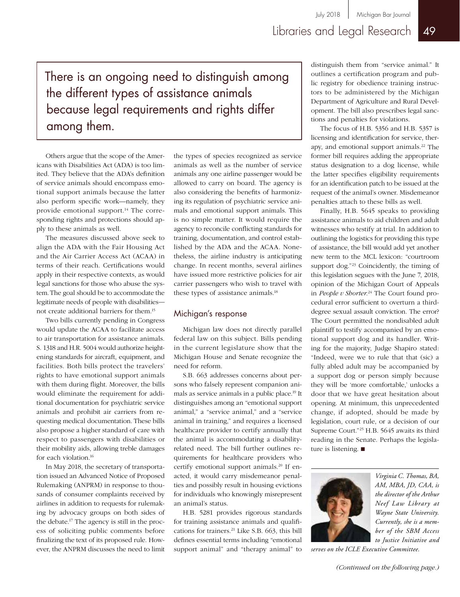There is an ongoing need to distinguish among the different types of assistance animals because legal requirements and rights differ among them.

Others argue that the scope of the Americans with Disabilities Act (ADA) is too limited. They believe that the ADA's definition of service animals should encompass emotional support animals because the latter also perform specific work—namely, they provide emotional support.<sup>14</sup> The corresponding rights and protections should apply to these animals as well.

The measures discussed above seek to align the ADA with the Fair Housing Act and the Air Carrier Access Act (ACAA) in terms of their reach. Certifications would apply in their respective contexts, as would legal sanctions for those who abuse the system. The goal should be to accommodate the legitimate needs of people with disabilities not create additional barriers for them.15

Two bills currently pending in Congress would update the ACAA to facilitate access to air transportation for assistance animals. S. 1318 and H.R. 5004 would authorize heightening standards for aircraft, equipment, and facilities. Both bills protect the travelers' rights to have emotional support animals with them during flight. Moreover, the bills would eliminate the requirement for additional documentation for psychiatric service animals and prohibit air carriers from requesting medical documentation. These bills also propose a higher standard of care with respect to passengers with disabilities or their mobility aids, allowing treble damages for each violation.16

In May 2018, the secretary of transportation issued an Advanced Notice of Proposed Rulemaking (ANPRM) in response to thousands of consumer complaints received by airlines in addition to requests for rulemaking by advocacy groups on both sides of the debate.17 The agency is still in the process of soliciting public comments before finalizing the text of its proposed rule. However, the ANPRM discusses the need to limit the types of species recognized as service animals as well as the number of service animals any one airline passenger would be allowed to carry on board. The agency is also considering the benefits of harmonizing its regulation of psychiatric service animals and emotional support animals. This is no simple matter. It would require the agency to reconcile conflicting standards for training, documentation, and control established by the ADA and the ACAA. Nonetheless, the airline industry is anticipating change. In recent months, several airlines have issued more restrictive policies for air carrier passengers who wish to travel with these types of assistance animals.18

#### Michigan's response

Michigan law does not directly parallel federal law on this subject. Bills pending in the current legislature show that the Michigan House and Senate recognize the need for reform.

S.B. 663 addresses concerns about persons who falsely represent companion animals as service animals in a public place.19 It distinguishes among an "emotional support animal," a "service animal," and a "service animal in training," and requires a licensed healthcare provider to certify annually that the animal is accommodating a disabilityrelated need. The bill further outlines requirements for healthcare providers who certify emotional support animals.<sup>20</sup> If enacted, it would carry misdemeanor penalties and possibly result in housing evictions for individuals who knowingly misrepresent an animal's status.

H.B. 5281 provides rigorous standards for training assistance animals and qualifications for trainers.21 Like S.B. 663, this bill defines essential terms including "emotional support animal" and "therapy animal" to

distinguish them from "service animal." It outlines a certification program and public registry for obedience training instructors to be administered by the Michigan Department of Agriculture and Rural Development. The bill also prescribes legal sanctions and penalties for violations.

The focus of H.B. 5356 and H.B. 5357 is licensing and identification for service, therapy, and emotional support animals.<sup>22</sup> The former bill requires adding the appropriate status designation to a dog license, while the latter specifies eligibility requirements for an identification patch to be issued at the request of the animal's owner. Misdemeanor penalties attach to these bills as well.

Finally, H.B. 5645 speaks to providing assistance animals to aid children and adult witnesses who testify at trial. In addition to outlining the logistics for providing this type of assistance, the bill would add yet another new term to the MCL lexicon: "courtroom support dog."<sup>23</sup> Coincidently, the timing of this legislation segues with the June 7, 2018, opinion of the Michigan Court of Appeals in *People v Shorter*. 24 The Court found procedural error sufficient to overturn a thirddegree sexual assault conviction. The error? The Court permitted the nondisabled adult plaintiff to testify accompanied by an emotional support dog and its handler. Writing for the majority, Judge Shapiro stated: "Indeed, were we to rule that that (sic) a fully abled adult may be accompanied by a support dog or person simply because they will be 'more comfortable,' unlocks a door that we have great hesitation about opening. At minimum, this unprecedented change, if adopted, should be made by legislation, court rule, or a decision of our Supreme Court."25 H.B. 5645 awaits its third reading in the Senate. Perhaps the legislature is listening.  $\blacksquare$ 



*Virginia C. Thomas, BA, AM, MBA, JD, CAA, is the director of the Arthur Neef Law Library at Wayne State University. Currently, she is a member of the SBM Access to Justice Initiative and* 

*serves on the ICLE Executive Committee.*